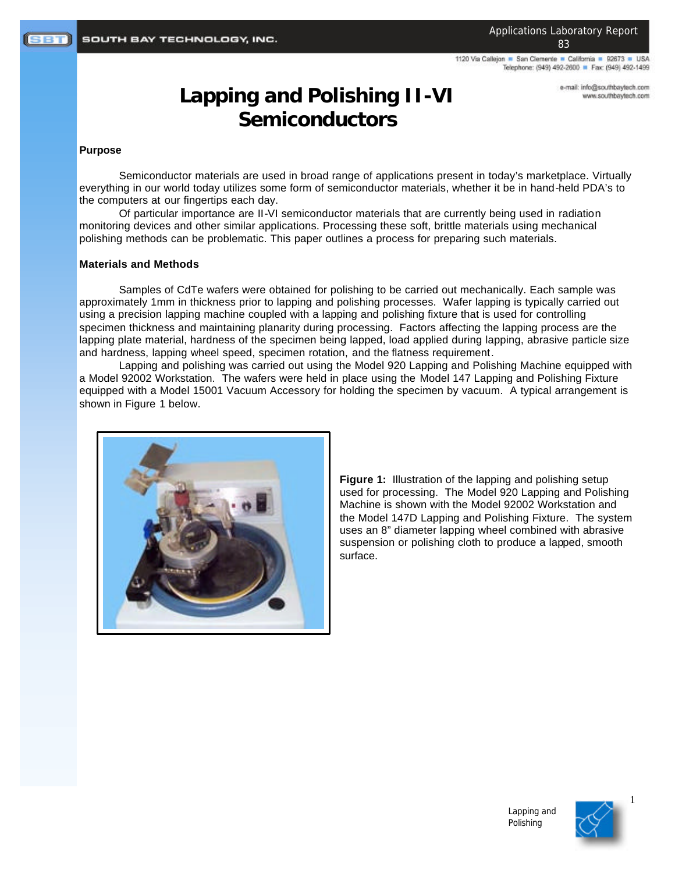1120 Via Callejon · San Clemente · California · 92673 · USA Telephone: (949) 492-2600 P Fax: (949) 492-1499

> e-mail: info@southbaytech.com www.southbaytech.com

# **Lapping and Polishing II-VI Semiconductors**

#### **Purpose**

Semiconductor materials are used in broad range of applications present in today's marketplace. Virtually everything in our world today utilizes some form of semiconductor materials, whether it be in hand-held PDA's to the computers at our fingertips each day.

Of particular importance are II-VI semiconductor materials that are currently being used in radiation monitoring devices and other similar applications. Processing these soft, brittle materials using mechanical polishing methods can be problematic. This paper outlines a process for preparing such materials.

#### **Materials and Methods**

Samples of CdTe wafers were obtained for polishing to be carried out mechanically. Each sample was approximately 1mm in thickness prior to lapping and polishing processes. Wafer lapping is typically carried out using a precision lapping machine coupled with a lapping and polishing fixture that is used for controlling specimen thickness and maintaining planarity during processing. Factors affecting the lapping process are the lapping plate material, hardness of the specimen being lapped, load applied during lapping, abrasive particle size and hardness, lapping wheel speed, specimen rotation, and the flatness requirement.

Lapping and polishing was carried out using the Model 920 Lapping and Polishing Machine equipped with a Model 92002 Workstation. The wafers were held in place using the Model 147 Lapping and Polishing Fixture equipped with a Model 15001 Vacuum Accessory for holding the specimen by vacuum. A typical arrangement is shown in Figure 1 below.



**Figure 1:** Illustration of the lapping and polishing setup used for processing. The Model 920 Lapping and Polishing Machine is shown with the Model 92002 Workstation and the Model 147D Lapping and Polishing Fixture. The system uses an 8" diameter lapping wheel combined with abrasive suspension or polishing cloth to produce a lapped, smooth surface.





1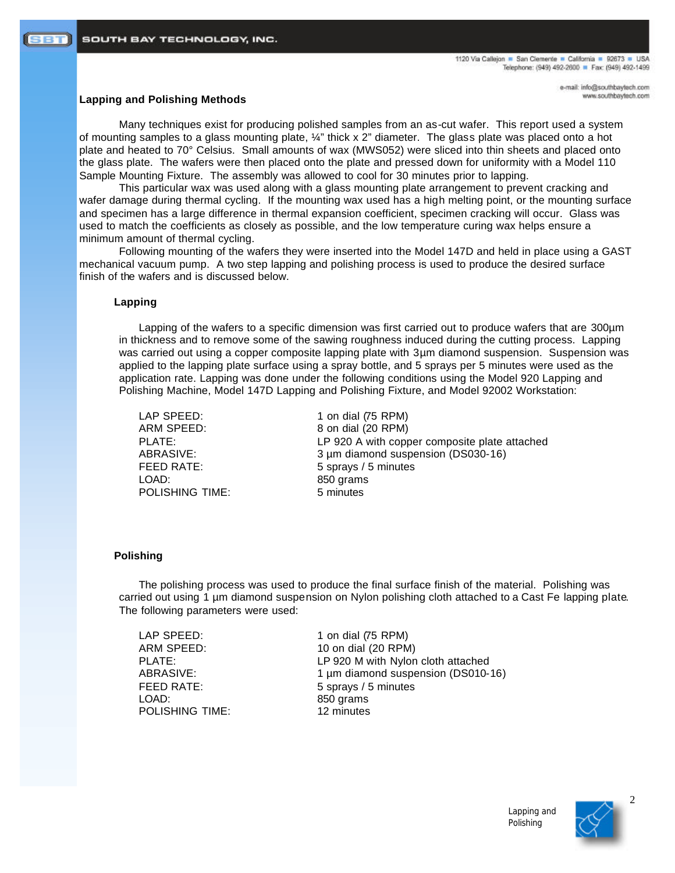### **Lapping and Polishing Methods**

Many techniques exist for producing polished samples from an as-cut wafer. This report used a system of mounting samples to a glass mounting plate, ¼" thick x 2" diameter. The glass plate was placed onto a hot plate and heated to 70° Celsius. Small amounts of wax (MWS052) were sliced into thin sheets and placed onto the glass plate. The wafers were then placed onto the plate and pressed down for uniformity with a Model 110 Sample Mounting Fixture. The assembly was allowed to cool for 30 minutes prior to lapping.

This particular wax was used along with a glass mounting plate arrangement to prevent cracking and wafer damage during thermal cycling. If the mounting wax used has a high melting point, or the mounting surface and specimen has a large difference in thermal expansion coefficient, specimen cracking will occur. Glass was used to match the coefficients as closely as possible, and the low temperature curing wax helps ensure a minimum amount of thermal cycling.

Following mounting of the wafers they were inserted into the Model 147D and held in place using a GAST mechanical vacuum pump. A two step lapping and polishing process is used to produce the desired surface finish of the wafers and is discussed below.

## **Lapping**

Lapping of the wafers to a specific dimension was first carried out to produce wafers that are 300µm in thickness and to remove some of the sawing roughness induced during the cutting process. Lapping was carried out using a copper composite lapping plate with 3µm diamond suspension. Suspension was applied to the lapping plate surface using a spray bottle, and 5 sprays per 5 minutes were used as the application rate. Lapping was done under the following conditions using the Model 920 Lapping and Polishing Machine, Model 147D Lapping and Polishing Fixture, and Model 92002 Workstation:

LOAD: 850 grams POLISHING TIME: 5 minutes

LAP SPEED: 1 on dial (75 RPM) ARM SPEED: 8 on dial (20 RPM) PLATE: LP 920 A with copper composite plate attached ABRASIVE: 3 µm diamond suspension (DS030-16) FEED RATE: 5 sprays / 5 minutes

#### **Polishing**

The polishing process was used to produce the final surface finish of the material. Polishing was carried out using 1 µm diamond suspension on Nylon polishing cloth attached to a Cast Fe lapping plate. The following parameters were used:

LOAD: 850 grams POLISHING TIME: 12 minutes

LAP SPEED: 1 on dial (75 RPM) ARM SPEED: 10 on dial (20 RPM) PLATE: LP 920 M with Nylon cloth attached ABRASIVE: 1 µm diamond suspension (DS010-16) FEED RATE: 5 sprays / 5 minutes





2